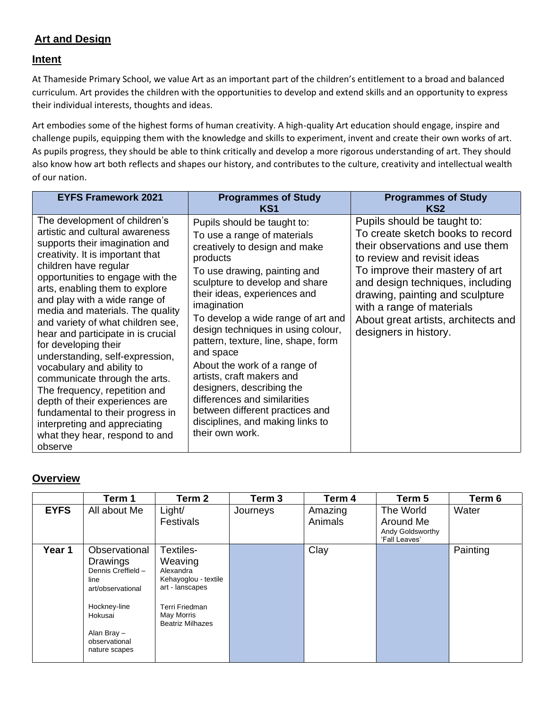## **Art and Design**

## **Intent**

At Thameside Primary School, we value Art as an important part of the children's entitlement to a broad and balanced curriculum. Art provides the children with the opportunities to develop and extend skills and an opportunity to express their individual interests, thoughts and ideas.

Art embodies some of the highest forms of human creativity. A high-quality Art education should engage, inspire and challenge pupils, equipping them with the knowledge and skills to experiment, invent and create their own works of art. As pupils progress, they should be able to think critically and develop a more rigorous understanding of art. They should also know how art both reflects and shapes our history, and contributes to the culture, creativity and intellectual wealth of our nation.

| <b>EYFS Framework 2021</b>                                                                                                                                                                                                                                                                                                                                                                                                                                                                                                                                                                                                                                                                          | <b>Programmes of Study</b><br>KS1                                                                                                                                                                                                                                                                                                                                                                                                                                                                                                                                            | <b>Programmes of Study</b><br>KS2                                                                                                                                                                                                                                                                                                        |
|-----------------------------------------------------------------------------------------------------------------------------------------------------------------------------------------------------------------------------------------------------------------------------------------------------------------------------------------------------------------------------------------------------------------------------------------------------------------------------------------------------------------------------------------------------------------------------------------------------------------------------------------------------------------------------------------------------|------------------------------------------------------------------------------------------------------------------------------------------------------------------------------------------------------------------------------------------------------------------------------------------------------------------------------------------------------------------------------------------------------------------------------------------------------------------------------------------------------------------------------------------------------------------------------|------------------------------------------------------------------------------------------------------------------------------------------------------------------------------------------------------------------------------------------------------------------------------------------------------------------------------------------|
| The development of children's<br>artistic and cultural awareness<br>supports their imagination and<br>creativity. It is important that<br>children have regular<br>opportunities to engage with the<br>arts, enabling them to explore<br>and play with a wide range of<br>media and materials. The quality<br>and variety of what children see,<br>hear and participate in is crucial<br>for developing their<br>understanding, self-expression,<br>vocabulary and ability to<br>communicate through the arts.<br>The frequency, repetition and<br>depth of their experiences are<br>fundamental to their progress in<br>interpreting and appreciating<br>what they hear, respond to and<br>observe | Pupils should be taught to:<br>To use a range of materials<br>creatively to design and make<br>products<br>To use drawing, painting and<br>sculpture to develop and share<br>their ideas, experiences and<br>imagination<br>To develop a wide range of art and<br>design techniques in using colour,<br>pattern, texture, line, shape, form<br>and space<br>About the work of a range of<br>artists, craft makers and<br>designers, describing the<br>differences and similarities<br>between different practices and<br>disciplines, and making links to<br>their own work. | Pupils should be taught to:<br>To create sketch books to record<br>their observations and use them<br>to review and revisit ideas<br>To improve their mastery of art<br>and design techniques, including<br>drawing, painting and sculpture<br>with a range of materials<br>About great artists, architects and<br>designers in history. |

## **Overview**

|             | Term 1                                                                                                                                                   | Term 2                                                                                                                                  | Term 3   | Term 4             | Term 5                                                      | Term 6   |
|-------------|----------------------------------------------------------------------------------------------------------------------------------------------------------|-----------------------------------------------------------------------------------------------------------------------------------------|----------|--------------------|-------------------------------------------------------------|----------|
| <b>EYFS</b> | All about Me                                                                                                                                             | Light/<br>Festivals                                                                                                                     | Journeys | Amazing<br>Animals | The World<br>Around Me<br>Andy Goldsworthy<br>'Fall Leaves' | Water    |
| Year 1      | Observational<br>Drawings<br>Dennis Creffield -<br>line<br>art/observational<br>Hockney-line<br>Hokusai<br>Alan Bray -<br>observational<br>nature scapes | Textiles-<br>Weaving<br>Alexandra<br>Kehayoglou - textile<br>art - lanscapes<br>Terri Friedman<br>May Morris<br><b>Beatriz Milhazes</b> |          | Clay               |                                                             | Painting |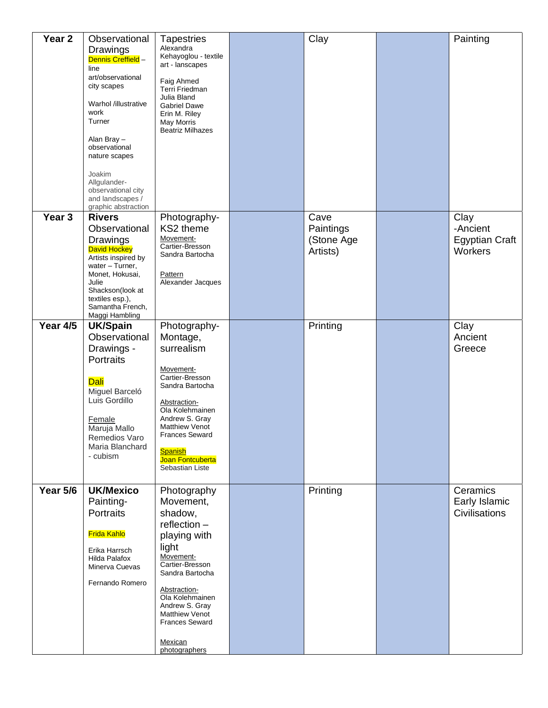| Year <sub>2</sub> | Observational<br>Drawings<br>Dennis Creffield -<br>line<br>art/observational<br>city scapes<br>Warhol /illustrative<br>work<br>Turner<br>Alan Bray-<br>observational<br>nature scapes<br>Joakim<br>Allgulander-<br>observational city<br>and landscapes /<br>graphic abstraction | <b>Tapestries</b><br>Alexandra<br>Kehayoglou - textile<br>art - lanscapes<br>Faig Ahmed<br>Terri Friedman<br>Julia Bland<br><b>Gabriel Dawe</b><br>Erin M. Riley<br>May Morris<br><b>Beatriz Milhazes</b>                                                            | Clay                                        | Painting                                             |
|-------------------|----------------------------------------------------------------------------------------------------------------------------------------------------------------------------------------------------------------------------------------------------------------------------------|----------------------------------------------------------------------------------------------------------------------------------------------------------------------------------------------------------------------------------------------------------------------|---------------------------------------------|------------------------------------------------------|
| Year <sub>3</sub> | <b>Rivers</b><br>Observational<br>Drawings<br><b>David Hockey</b><br>Artists inspired by<br>water - Turner,<br>Monet, Hokusai,<br>Julie<br>Shackson(look at<br>textiles esp.),<br>Samantha French,<br>Maggi Hambling                                                             | Photography-<br>KS2 theme<br>Movement-<br>Cartier-Bresson<br>Sandra Bartocha<br><b>Pattern</b><br>Alexander Jacques                                                                                                                                                  | Cave<br>Paintings<br>(Stone Age<br>Artists) | Clay<br>-Ancient<br><b>Egyptian Craft</b><br>Workers |
| Year 4/5          | <b>UK/Spain</b><br>Observational<br>Drawings -<br><b>Portraits</b><br>Dali<br>Miguel Barceló<br>Luis Gordillo<br>Female<br>Maruja Mallo<br>Remedios Varo<br>Maria Blanchard<br>- cubism                                                                                          | Photography-<br>Montage,<br>surrealism<br>Movement-<br>Cartier-Bresson<br>Sandra Bartocha<br>Abstraction-<br>Ola Kolehmainen<br>Andrew S. Gray<br><b>Matthiew Venot</b><br><b>Frances Seward</b><br><b>Spanish</b><br>Joan Fontcuberta<br>Sebastian Liste            | Printing                                    | Clay<br>Ancient<br>Greece                            |
| <b>Year 5/6</b>   | <b>UK/Mexico</b><br>Painting-<br>Portraits<br><b>Frida Kahlo</b><br>Erika Harrsch<br>Hilda Palafox<br>Minerva Cuevas<br>Fernando Romero                                                                                                                                          | Photography<br>Movement,<br>shadow,<br>$reflection -$<br>playing with<br>light<br>Movement-<br>Cartier-Bresson<br>Sandra Bartocha<br>Abstraction-<br>Ola Kolehmainen<br>Andrew S. Gray<br><b>Matthiew Venot</b><br><b>Frances Seward</b><br>Mexican<br>photographers | Printing                                    | Ceramics<br>Early Islamic<br>Civilisations           |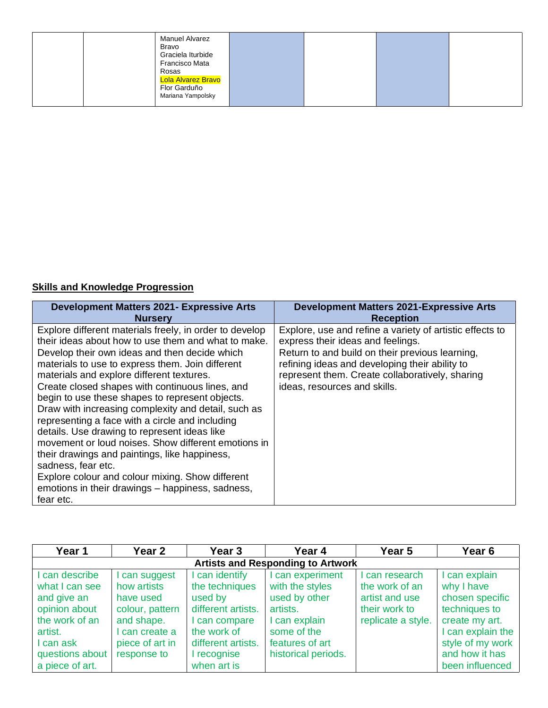| <b>Manuel Alvarez</b><br>Bravo<br>Graciela Iturbide<br>Francisco Mata<br>Rosas |  |  |
|--------------------------------------------------------------------------------|--|--|
| Lola Alvarez Bravo<br>Flor Garduño                                             |  |  |
| Mariana Yampolsky                                                              |  |  |

## **Skills and Knowledge Progression**

| <b>Development Matters 2021- Expressive Arts</b>                                                                                                                                                                                                                                                                                                                                                                                                                                                                                                                                                                                                                                                                                                                                    | <b>Development Matters 2021-Expressive Arts</b>                                                                                                                                                                                                                                       |
|-------------------------------------------------------------------------------------------------------------------------------------------------------------------------------------------------------------------------------------------------------------------------------------------------------------------------------------------------------------------------------------------------------------------------------------------------------------------------------------------------------------------------------------------------------------------------------------------------------------------------------------------------------------------------------------------------------------------------------------------------------------------------------------|---------------------------------------------------------------------------------------------------------------------------------------------------------------------------------------------------------------------------------------------------------------------------------------|
| <b>Nursery</b>                                                                                                                                                                                                                                                                                                                                                                                                                                                                                                                                                                                                                                                                                                                                                                      | <b>Reception</b>                                                                                                                                                                                                                                                                      |
| Explore different materials freely, in order to develop<br>their ideas about how to use them and what to make.<br>Develop their own ideas and then decide which<br>materials to use to express them. Join different<br>materials and explore different textures.<br>Create closed shapes with continuous lines, and<br>begin to use these shapes to represent objects.<br>Draw with increasing complexity and detail, such as<br>representing a face with a circle and including<br>details. Use drawing to represent ideas like<br>movement or loud noises. Show different emotions in<br>their drawings and paintings, like happiness,<br>sadness, fear etc.<br>Explore colour and colour mixing. Show different<br>emotions in their drawings - happiness, sadness,<br>fear etc. | Explore, use and refine a variety of artistic effects to<br>express their ideas and feelings.<br>Return to and build on their previous learning,<br>refining ideas and developing their ability to<br>represent them. Create collaboratively, sharing<br>ideas, resources and skills. |

| Year 1                                                                                                                      | <b>Year 2</b>                                                                                                                | <b>Year 3</b>                                                                                                                          | Year 4                                                                                                                                   | Year 5                                                                                    | Year <sub>6</sub>                                                                                                                                               |  |  |  |
|-----------------------------------------------------------------------------------------------------------------------------|------------------------------------------------------------------------------------------------------------------------------|----------------------------------------------------------------------------------------------------------------------------------------|------------------------------------------------------------------------------------------------------------------------------------------|-------------------------------------------------------------------------------------------|-----------------------------------------------------------------------------------------------------------------------------------------------------------------|--|--|--|
|                                                                                                                             | <b>Artists and Responding to Artwork</b>                                                                                     |                                                                                                                                        |                                                                                                                                          |                                                                                           |                                                                                                                                                                 |  |  |  |
| can describe<br>what I can see<br>and give an<br>opinion about<br>the work of an<br>artist.<br>I can ask<br>questions about | I can suggest<br>how artists<br>have used<br>colour, pattern<br>and shape.<br>can create a<br>piece of art in<br>response to | I can identify<br>the techniques<br>used by<br>different artists.<br>I can compare<br>the work of<br>different artists.<br>I recognise | can experiment<br>with the styles<br>used by other<br>artists.<br>I can explain<br>some of the<br>features of art<br>historical periods. | I can research<br>the work of an<br>artist and use<br>their work to<br>replicate a style. | I can explain<br>why I have<br>chosen specific<br>techniques to<br>create my art.<br>I can explain the<br>style of my work<br>and how it has<br>been influenced |  |  |  |
| a piece of art.                                                                                                             |                                                                                                                              | when art is                                                                                                                            |                                                                                                                                          |                                                                                           |                                                                                                                                                                 |  |  |  |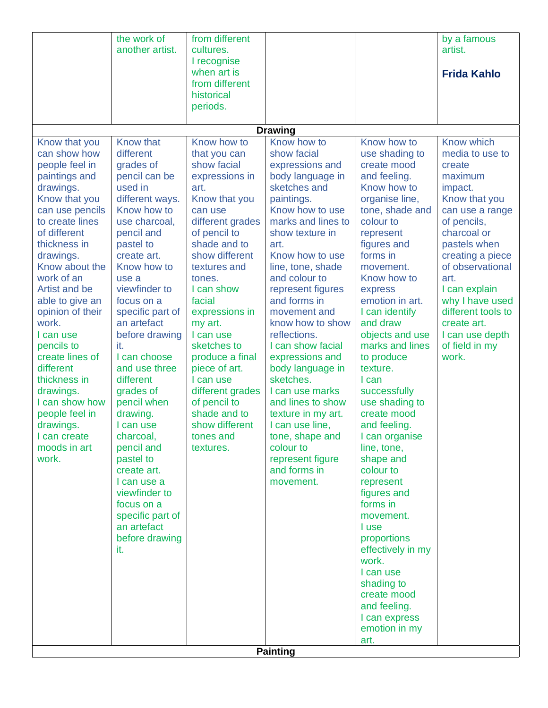|                  | the work of           | from different   |                    |                                    | by a famous        |
|------------------|-----------------------|------------------|--------------------|------------------------------------|--------------------|
|                  | another artist.       | cultures.        |                    |                                    | artist.            |
|                  |                       | I recognise      |                    |                                    |                    |
|                  |                       | when art is      |                    |                                    | <b>Frida Kahlo</b> |
|                  |                       | from different   |                    |                                    |                    |
|                  |                       |                  |                    |                                    |                    |
|                  |                       | historical       |                    |                                    |                    |
|                  |                       | periods.         |                    |                                    |                    |
|                  |                       |                  |                    |                                    |                    |
|                  |                       |                  | <b>Drawing</b>     |                                    |                    |
| Know that you    | Know that             | Know how to      | Know how to        | Know how to                        | Know which         |
| can show how     | different             | that you can     | show facial        | use shading to                     | media to use to    |
| people feel in   | grades of             | show facial      | expressions and    | create mood                        | create             |
| paintings and    | pencil can be         | expressions in   | body language in   | and feeling.                       | maximum            |
| drawings.        | used in               | art.             | sketches and       | Know how to                        | impact.            |
| Know that you    | different ways.       | Know that you    | paintings.         | organise line,                     | Know that you      |
| can use pencils  | Know how to           | can use          | Know how to use    | tone, shade and                    | can use a range    |
| to create lines  | use charcoal,         | different grades | marks and lines to | colour to                          | of pencils,        |
| of different     | pencil and            | of pencil to     | show texture in    | represent                          | charcoal or        |
| thickness in     | pastel to             | shade and to     | art.               | figures and                        | pastels when       |
| drawings.        | create art.           | show different   | Know how to use    | forms in                           | creating a piece   |
| Know about the   | Know how to           | textures and     | line, tone, shade  | movement.                          | of observational   |
| work of an       | use a                 | tones.           | and colour to      | Know how to                        | art.               |
| Artist and be    | viewfinder to         | I can show       | represent figures  | express                            | I can explain      |
| able to give an  | focus on a            | facial           | and forms in       | emotion in art.                    | why I have used    |
| opinion of their | specific part of      | expressions in   | movement and       | I can identify                     | different tools to |
| work.            | an artefact           | my art.          | know how to show   | and draw                           | create art.        |
|                  |                       | I can use        | reflections.       |                                    |                    |
| I can use        | before drawing<br>it. | sketches to      | I can show facial  | objects and use<br>marks and lines | I can use depth    |
| pencils to       |                       |                  |                    |                                    | of field in my     |
| create lines of  | I can choose          | produce a final  | expressions and    | to produce                         | work.              |
| different        | and use three         | piece of art.    | body language in   | texture.                           |                    |
| thickness in     | different             | I can use        | sketches.          | I can                              |                    |
| drawings.        | grades of             | different grades | I can use marks    | successfully                       |                    |
| I can show how   | pencil when           | of pencil to     | and lines to show  | use shading to                     |                    |
| people feel in   | drawing.              | shade and to     | texture in my art. | create mood                        |                    |
| drawings.        | I can use             | show different   | I can use line,    | and feeling.                       |                    |
| can create       | charcoal,             | tones and        | tone, shape and    | I can organise                     |                    |
| moods in art     | pencil and            | textures.        | colour to          | line, tone,                        |                    |
| work.            | pastel to             |                  | represent figure   | shape and                          |                    |
|                  | create art.           |                  | and forms in       | colour to                          |                    |
|                  | I can use a           |                  | movement.          | represent                          |                    |
|                  | viewfinder to         |                  |                    | figures and                        |                    |
|                  | focus on a            |                  |                    | forms in                           |                    |
|                  | specific part of      |                  |                    | movement.                          |                    |
|                  | an artefact           |                  |                    | I use                              |                    |
|                  | before drawing        |                  |                    | proportions                        |                    |
|                  | it.                   |                  |                    | effectively in my                  |                    |
|                  |                       |                  |                    | work.                              |                    |
|                  |                       |                  |                    | I can use                          |                    |
|                  |                       |                  |                    | shading to                         |                    |
|                  |                       |                  |                    | create mood                        |                    |
|                  |                       |                  |                    | and feeling.                       |                    |
|                  |                       |                  |                    | I can express                      |                    |
|                  |                       |                  |                    | emotion in my                      |                    |
|                  |                       |                  |                    | art.                               |                    |
|                  |                       |                  | <b>Painting</b>    |                                    |                    |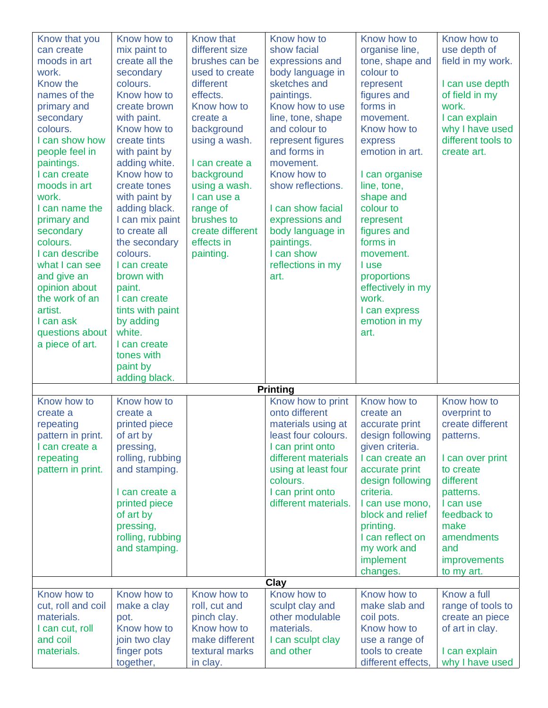| Know that you<br>can create<br>moods in art<br>work.<br>Know the<br>names of the<br>primary and<br>secondary<br>colours.<br>I can show how<br>people feel in<br>paintings.<br>I can create<br>moods in art<br>work.<br>I can name the<br>primary and<br>secondary<br>colours.<br>I can describe<br>what I can see<br>and give an<br>opinion about<br>the work of an<br>artist.<br>I can ask<br>questions about<br>a piece of art. | Know how to<br>mix paint to<br>create all the<br>secondary<br>colours.<br>Know how to<br>create brown<br>with paint.<br>Know how to<br>create tints<br>with paint by<br>adding white.<br>Know how to<br>create tones<br>with paint by<br>adding black.<br>I can mix paint<br>to create all<br>the secondary<br>colours.<br>I can create<br>brown with<br>paint.<br>I can create<br>tints with paint<br>by adding<br>white.<br>I can create<br>tones with<br>paint by | Know that<br>different size<br>brushes can be<br>used to create<br>different<br>effects.<br>Know how to<br>create a<br>background<br>using a wash.<br>I can create a<br>background<br>using a wash.<br>I can use a<br>range of<br>brushes to<br>create different<br>effects in<br>painting. | Know how to<br>show facial<br>expressions and<br>body language in<br>sketches and<br>paintings.<br>Know how to use<br>line, tone, shape<br>and colour to<br>represent figures<br>and forms in<br>movement.<br>Know how to<br>show reflections.<br>I can show facial<br>expressions and<br>body language in<br>paintings.<br>I can show<br>reflections in my<br>art. | Know how to<br>organise line,<br>tone, shape and<br>colour to<br>represent<br>figures and<br>forms in<br>movement.<br>Know how to<br>express<br>emotion in art.<br>I can organise<br>line, tone,<br>shape and<br>colour to<br>represent<br>figures and<br>forms in<br>movement.<br>I use<br>proportions<br>effectively in my<br>work.<br>I can express<br>emotion in my<br>art. | Know how to<br>use depth of<br>field in my work.<br>I can use depth<br>of field in my<br>work.<br>I can explain<br>why I have used<br>different tools to<br>create art.                                        |
|-----------------------------------------------------------------------------------------------------------------------------------------------------------------------------------------------------------------------------------------------------------------------------------------------------------------------------------------------------------------------------------------------------------------------------------|----------------------------------------------------------------------------------------------------------------------------------------------------------------------------------------------------------------------------------------------------------------------------------------------------------------------------------------------------------------------------------------------------------------------------------------------------------------------|---------------------------------------------------------------------------------------------------------------------------------------------------------------------------------------------------------------------------------------------------------------------------------------------|---------------------------------------------------------------------------------------------------------------------------------------------------------------------------------------------------------------------------------------------------------------------------------------------------------------------------------------------------------------------|---------------------------------------------------------------------------------------------------------------------------------------------------------------------------------------------------------------------------------------------------------------------------------------------------------------------------------------------------------------------------------|----------------------------------------------------------------------------------------------------------------------------------------------------------------------------------------------------------------|
|                                                                                                                                                                                                                                                                                                                                                                                                                                   | adding black.                                                                                                                                                                                                                                                                                                                                                                                                                                                        |                                                                                                                                                                                                                                                                                             | <b>Printing</b>                                                                                                                                                                                                                                                                                                                                                     |                                                                                                                                                                                                                                                                                                                                                                                 |                                                                                                                                                                                                                |
| Know how to<br>create a<br>repeating<br>pattern in print.<br>I can create a<br>repeating<br>pattern in print.                                                                                                                                                                                                                                                                                                                     | Know how to<br>create a<br>printed piece<br>of art by<br>pressing,<br>rolling, rubbing<br>and stamping.<br>I can create a<br>printed piece<br>of art by<br>pressing,<br>rolling, rubbing<br>and stamping.                                                                                                                                                                                                                                                            |                                                                                                                                                                                                                                                                                             | Know how to print<br>onto different<br>materials using at<br>least four colours.<br>I can print onto<br>different materials<br>using at least four<br>colours.<br>I can print onto<br>different materials.                                                                                                                                                          | Know how to<br>create an<br>accurate print<br>design following<br>given criteria.<br>I can create an<br>accurate print<br>design following<br>criteria.<br>I can use mono,<br>block and relief<br>printing.<br>I can reflect on<br>my work and<br>implement<br>changes.                                                                                                         | Know how to<br>overprint to<br>create different<br>patterns.<br>I can over print<br>to create<br>different<br>patterns.<br>I can use<br>feedback to<br>make<br>amendments<br>and<br>improvements<br>to my art. |
|                                                                                                                                                                                                                                                                                                                                                                                                                                   |                                                                                                                                                                                                                                                                                                                                                                                                                                                                      |                                                                                                                                                                                                                                                                                             | Clay                                                                                                                                                                                                                                                                                                                                                                |                                                                                                                                                                                                                                                                                                                                                                                 |                                                                                                                                                                                                                |
| Know how to<br>cut, roll and coil<br>materials.<br>I can cut, roll<br>and coil<br>materials.                                                                                                                                                                                                                                                                                                                                      | Know how to<br>make a clay<br>pot.<br>Know how to<br>join two clay<br>finger pots<br>together,                                                                                                                                                                                                                                                                                                                                                                       | Know how to<br>roll, cut and<br>pinch clay.<br>Know how to<br>make different<br>textural marks<br>in clay.                                                                                                                                                                                  | Know how to<br>sculpt clay and<br>other modulable<br>materials.<br>I can sculpt clay<br>and other                                                                                                                                                                                                                                                                   | Know how to<br>make slab and<br>coil pots.<br>Know how to<br>use a range of<br>tools to create<br>different effects,                                                                                                                                                                                                                                                            | Know a full<br>range of tools to<br>create an piece<br>of art in clay.<br>I can explain<br>why I have used                                                                                                     |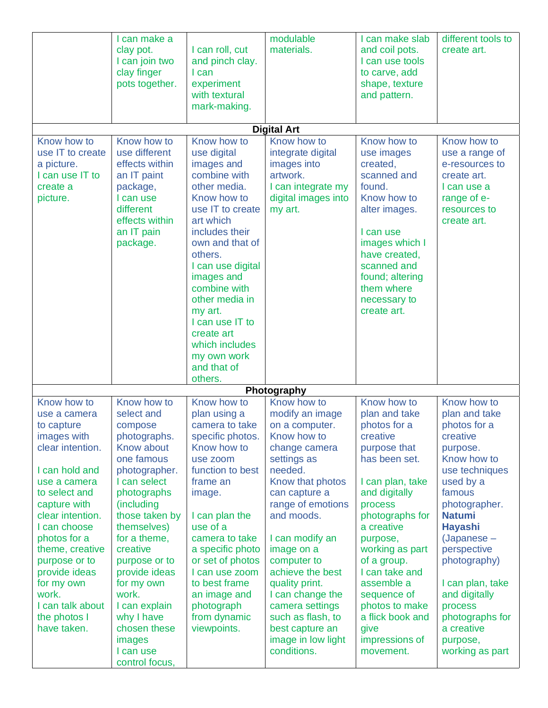|                                                                                                                                                                                                                                                                                                                     | I can make a<br>clay pot.<br>I can join two<br>clay finger<br>pots together.                                                                                                                                                                                                                                                                  | I can roll, cut<br>and pinch clay.<br>I can<br>experiment<br>with textural                                                                                                                                                                                                                                                                           | modulable<br>materials.                                                                                                                                                                                                                                                                                                                                                       | I can make slab<br>and coil pots.<br>I can use tools<br>to carve, add<br>shape, texture<br>and pattern.                                                                                                                                                                                                                               | different tools to<br>create art.                                                                                                                                                                                                                                                                                               |
|---------------------------------------------------------------------------------------------------------------------------------------------------------------------------------------------------------------------------------------------------------------------------------------------------------------------|-----------------------------------------------------------------------------------------------------------------------------------------------------------------------------------------------------------------------------------------------------------------------------------------------------------------------------------------------|------------------------------------------------------------------------------------------------------------------------------------------------------------------------------------------------------------------------------------------------------------------------------------------------------------------------------------------------------|-------------------------------------------------------------------------------------------------------------------------------------------------------------------------------------------------------------------------------------------------------------------------------------------------------------------------------------------------------------------------------|---------------------------------------------------------------------------------------------------------------------------------------------------------------------------------------------------------------------------------------------------------------------------------------------------------------------------------------|---------------------------------------------------------------------------------------------------------------------------------------------------------------------------------------------------------------------------------------------------------------------------------------------------------------------------------|
|                                                                                                                                                                                                                                                                                                                     |                                                                                                                                                                                                                                                                                                                                               | mark-making.                                                                                                                                                                                                                                                                                                                                         |                                                                                                                                                                                                                                                                                                                                                                               |                                                                                                                                                                                                                                                                                                                                       |                                                                                                                                                                                                                                                                                                                                 |
|                                                                                                                                                                                                                                                                                                                     |                                                                                                                                                                                                                                                                                                                                               |                                                                                                                                                                                                                                                                                                                                                      | <b>Digital Art</b>                                                                                                                                                                                                                                                                                                                                                            |                                                                                                                                                                                                                                                                                                                                       |                                                                                                                                                                                                                                                                                                                                 |
| Know how to<br>use IT to create<br>a picture.<br>I can use IT to<br>create a<br>picture.                                                                                                                                                                                                                            | Know how to<br>use different<br>effects within<br>an IT paint<br>package,<br>I can use<br>different<br>effects within<br>an IT pain<br>package.                                                                                                                                                                                               | Know how to<br>use digital<br>images and<br>combine with<br>other media.<br>Know how to<br>use IT to create<br>art which<br>includes their<br>own and that of<br>others.<br>I can use digital<br>images and<br>combine with<br>other media in<br>my art.<br>I can use IT to<br>create art<br>which includes<br>my own work<br>and that of<br>others. | Know how to<br>integrate digital<br>images into<br>artwork.<br>I can integrate my<br>digital images into<br>my art.                                                                                                                                                                                                                                                           | Know how to<br>use images<br>created,<br>scanned and<br>found.<br>Know how to<br>alter images.<br>I can use<br>images which I<br>have created,<br>scanned and<br>found; altering<br>them where<br>necessary to<br>create art.                                                                                                         | Know how to<br>use a range of<br>e-resources to<br>create art.<br>I can use a<br>range of e-<br>resources to<br>create art.                                                                                                                                                                                                     |
| Know how to                                                                                                                                                                                                                                                                                                         | Know how to                                                                                                                                                                                                                                                                                                                                   | Know how to                                                                                                                                                                                                                                                                                                                                          | Photography<br>Know how to                                                                                                                                                                                                                                                                                                                                                    | Know how to                                                                                                                                                                                                                                                                                                                           | Know how to                                                                                                                                                                                                                                                                                                                     |
| use a camera<br>to capture<br>images with<br>clear intention.<br>I can hold and<br>use a camera<br>to select and<br>capture with<br>clear intention.<br>I can choose<br>photos for a<br>theme, creative<br>purpose or to<br>provide ideas<br>for my own<br>work.<br>I can talk about<br>the photos I<br>have taken. | select and<br>compose<br>photographs.<br>Know about<br>one famous<br>photographer.<br>I can select<br>photographs<br>(including<br>those taken by<br>themselves)<br>for a theme,<br>creative<br>purpose or to<br>provide ideas<br>for my own<br>work.<br>I can explain<br>why I have<br>chosen these<br>images<br>I can use<br>control focus, | plan using a<br>camera to take<br>specific photos.<br>Know how to<br>use zoom<br>function to best<br>frame an<br>image.<br>I can plan the<br>use of a<br>camera to take<br>a specific photo<br>or set of photos<br>I can use zoom<br>to best frame<br>an image and<br>photograph<br>from dynamic<br>viewpoints.                                      | modify an image<br>on a computer.<br>Know how to<br>change camera<br>settings as<br>needed.<br>Know that photos<br>can capture a<br>range of emotions<br>and moods.<br>I can modify an<br>image on a<br>computer to<br>achieve the best<br>quality print.<br>I can change the<br>camera settings<br>such as flash, to<br>best capture an<br>image in low light<br>conditions. | plan and take<br>photos for a<br>creative<br>purpose that<br>has been set.<br>I can plan, take<br>and digitally<br>process<br>photographs for<br>a creative<br>purpose,<br>working as part<br>of a group.<br>I can take and<br>assemble a<br>sequence of<br>photos to make<br>a flick book and<br>give<br>impressions of<br>movement. | plan and take<br>photos for a<br>creative<br>purpose.<br>Know how to<br>use techniques<br>used by a<br>famous<br>photographer.<br><b>Natumi</b><br><b>Hayashi</b><br>(Japanese -<br>perspective<br>photography)<br>I can plan, take<br>and digitally<br>process<br>photographs for<br>a creative<br>purpose,<br>working as part |